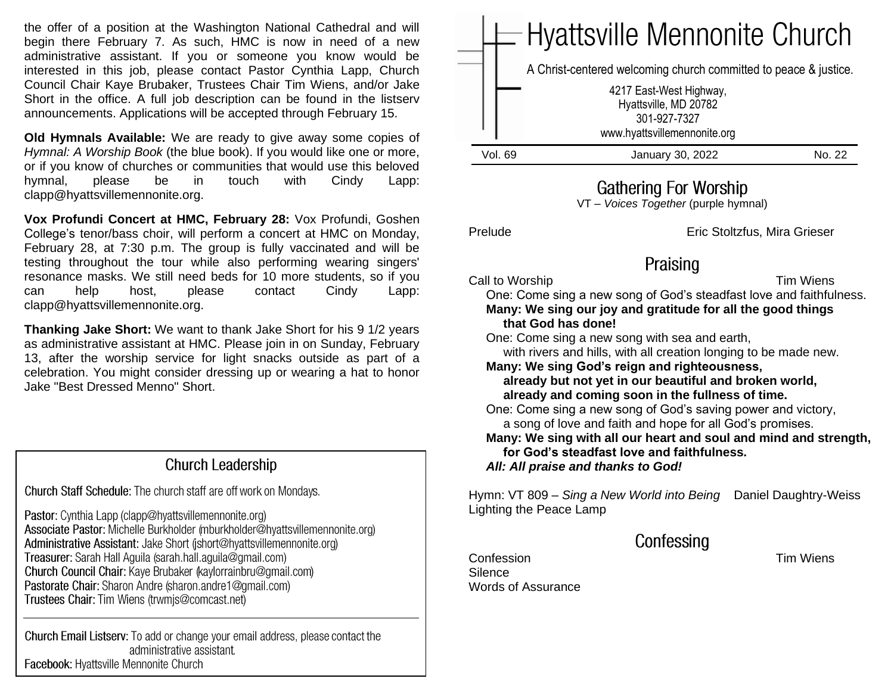the offer of a position at the Washington National Cathedral and will begin there February 7. As such, HMC is now in need of a new administrative assistant. If you or someone you know would be interested in this job, please contact Pastor Cynthia Lapp, Church Council Chair Kaye Brubaker, Trustees Chair Tim Wiens, and/or Jake Short in the office. A full job description can be found in the listserv announcements. Applications will be accepted through February 15.

**Old Hymnals Available:** We are ready to give away some copies of *Hymnal: A Worship Book* (the blue book). If you would like one or more, or if you know of churches or communities that would use this beloved hymnal, please be in touch with Cindy Lapp: clapp@hyattsvillemennonite.org.

**Vox Profundi Concert at HMC, February 28:** Vox Profundi, Goshen College's tenor/bass choir, will perform a concert at HMC on Monday, February 28, at 7:30 p.m. The group is fully vaccinated and will be testing throughout the tour while also performing wearing singers' resonance masks. We still need beds for 10 more students, so if you can help host, please contact Cindy Lapp: clapp@hyattsvillemennonite.org.

**Thanking Jake Short:** We want to thank Jake Short for his 9 1/2 years as administrative assistant at HMC. Please join in on Sunday, February 13, after the worship service for light snacks outside as part of a celebration. You might consider dressing up or wearing a hat to honor Jake "Best Dressed Menno" Short.

#### **Church Leadership**

Church Staff Schedule: The church staff are off work on Mondays.

Pastor: Cynthia Lapp (clapp@hyattsvillemennonite.org) Associate Pastor: Michelle Burkholder (mburkholder@hyattsvillemennonite.org) Administrative Assistant: Jake Short (ishort@hyattsvillemennonite.org) Treasurer: Sarah Hall Aguila (sarah.hall.aguila@gmail.com) Church Council Chair: Kaye Brubaker (kaylorrainbru@gmail.com) Pastorate Chair: Sharon Andre (sharon.andre1@gmail.com) Trustees Chair: Tim Wiens (trwmjs@comcast.net)

Church Email Listserv: To add or change your email address, please contact the administrative assistant. Facebook: Hyattsville Mennonite Church

|         | $=$ Hyattsville Mennonite Church                                                                 |        |
|---------|--------------------------------------------------------------------------------------------------|--------|
|         | A Christ-centered welcoming church committed to peace & justice.                                 |        |
|         | 4217 East-West Highway,<br>Hyattsville, MD 20782<br>301-927-7327<br>www.hyattsvillemennonite.org |        |
| Vol. 69 | January 30, 2022                                                                                 | No. 22 |

### **Gathering For Worship**

VT – *Voices Together* (purple hymnal)

Prelude Eric Stoltzfus, Mira Grieser

# Praising

Call to Worship Call to Worship Call to Wiens

 One: Come sing a new song of God's steadfast love and faithfulness. **Many: We sing our joy and gratitude for all the good things that God has done!**

One: Come sing a new song with sea and earth,

 with rivers and hills, with all creation longing to be made new. **Many: We sing God's reign and righteousness,**

 **already but not yet in our beautiful and broken world, already and coming soon in the fullness of time.**

 One: Come sing a new song of God's saving power and victory, a song of love and faith and hope for all God's promises.

 **Many: We sing with all our heart and soul and mind and strength, for God's steadfast love and faithfulness.** *All: All praise and thanks to God!*

Hymn: VT 809 – *Sing a New World into Being* Daniel Daughtry-Weiss Lighting the Peace Lamp

Confessing

Confession Tim Wiens Silence Words of Assurance